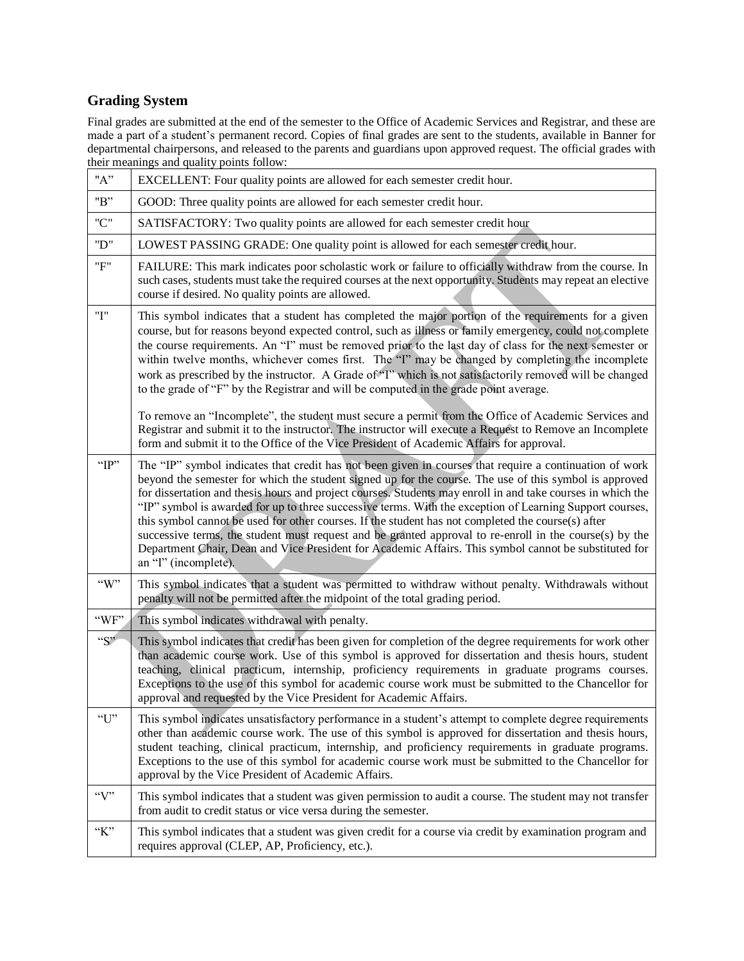# **Grading System**

Final grades are submitted at the end of the semester to the Office of Academic Services and Registrar, and these are made a part of a student's permanent record. Copies of final grades are sent to the students, available in Banner for departmental chairpersons, and released to the parents and guardians upon approved request. The official grades with their meanings and quality points follow:

| "A"                           | EXCELLENT: Four quality points are allowed for each semester credit hour.                                                                                                                                                                                                                                                                                                                                                                                                                                                                                                                                                                                                                                                                                                                      |
|-------------------------------|------------------------------------------------------------------------------------------------------------------------------------------------------------------------------------------------------------------------------------------------------------------------------------------------------------------------------------------------------------------------------------------------------------------------------------------------------------------------------------------------------------------------------------------------------------------------------------------------------------------------------------------------------------------------------------------------------------------------------------------------------------------------------------------------|
| "B"                           | GOOD: Three quality points are allowed for each semester credit hour.                                                                                                                                                                                                                                                                                                                                                                                                                                                                                                                                                                                                                                                                                                                          |
| "C"                           | SATISFACTORY: Two quality points are allowed for each semester credit hour                                                                                                                                                                                                                                                                                                                                                                                                                                                                                                                                                                                                                                                                                                                     |
| "D"                           | LOWEST PASSING GRADE: One quality point is allowed for each semester credit hour.                                                                                                                                                                                                                                                                                                                                                                                                                                                                                                                                                                                                                                                                                                              |
| "F"                           | FAILURE: This mark indicates poor scholastic work or failure to officially withdraw from the course. In<br>such cases, students must take the required courses at the next opportunity. Students may repeat an elective<br>course if desired. No quality points are allowed.                                                                                                                                                                                                                                                                                                                                                                                                                                                                                                                   |
| "I"                           | This symbol indicates that a student has completed the major portion of the requirements for a given<br>course, but for reasons beyond expected control, such as illness or family emergency, could not complete<br>the course requirements. An "I" must be removed prior to the last day of class for the next semester or<br>within twelve months, whichever comes first. The "I" may be changed by completing the incomplete<br>work as prescribed by the instructor. A Grade of "T' which is not satisfactorily removed will be changed<br>to the grade of "F" by the Registrar and will be computed in the grade point average.                                                                                                                                                           |
|                               | To remove an "Incomplete", the student must secure a permit from the Office of Academic Services and<br>Registrar and submit it to the instructor. The instructor will execute a Request to Remove an Incomplete<br>form and submit it to the Office of the Vice President of Academic Affairs for approval.                                                                                                                                                                                                                                                                                                                                                                                                                                                                                   |
| "IP"                          | The "IP" symbol indicates that credit has not been given in courses that require a continuation of work<br>beyond the semester for which the student signed up for the course. The use of this symbol is approved<br>for dissertation and thesis hours and project courses. Students may enroll in and take courses in which the<br>"IP" symbol is awarded for up to three successive terms. With the exception of Learning Support courses,<br>this symbol cannot be used for other courses. If the student has not completed the course(s) after<br>successive terms, the student must request and be granted approval to re-enroll in the course(s) by the<br>Department Chair, Dean and Vice President for Academic Affairs. This symbol cannot be substituted for<br>an "I" (incomplete). |
| $\lq\lq W$ "                  | This symbol indicates that a student was permitted to withdraw without penalty. Withdrawals without<br>penalty will not be permitted after the midpoint of the total grading period.                                                                                                                                                                                                                                                                                                                                                                                                                                                                                                                                                                                                           |
| "WF"                          | This symbol indicates withdrawal with penalty.                                                                                                                                                                                                                                                                                                                                                                                                                                                                                                                                                                                                                                                                                                                                                 |
| ${}^{\alpha}S^{\prime\prime}$ | This symbol indicates that credit has been given for completion of the degree requirements for work other<br>than academic course work. Use of this symbol is approved for dissertation and thesis hours, student<br>teaching, clinical practicum, internship, proficiency requirements in graduate programs courses.<br>Exceptions to the use of this symbol for academic course work must be submitted to the Chancellor for<br>approval and requested by the Vice President for Academic Affairs.                                                                                                                                                                                                                                                                                           |
| 'U'                           | This symbol indicates unsatisfactory performance in a student's attempt to complete degree requirements<br>other than academic course work. The use of this symbol is approved for dissertation and thesis hours,<br>student teaching, clinical practicum, internship, and proficiency requirements in graduate programs.<br>Exceptions to the use of this symbol for academic course work must be submitted to the Chancellor for<br>approval by the Vice President of Academic Affairs.                                                                                                                                                                                                                                                                                                      |
| $\lq\lq V$                    | This symbol indicates that a student was given permission to audit a course. The student may not transfer<br>from audit to credit status or vice versa during the semester.                                                                                                                                                                                                                                                                                                                                                                                                                                                                                                                                                                                                                    |
| K                             | This symbol indicates that a student was given credit for a course via credit by examination program and<br>requires approval (CLEP, AP, Proficiency, etc.).                                                                                                                                                                                                                                                                                                                                                                                                                                                                                                                                                                                                                                   |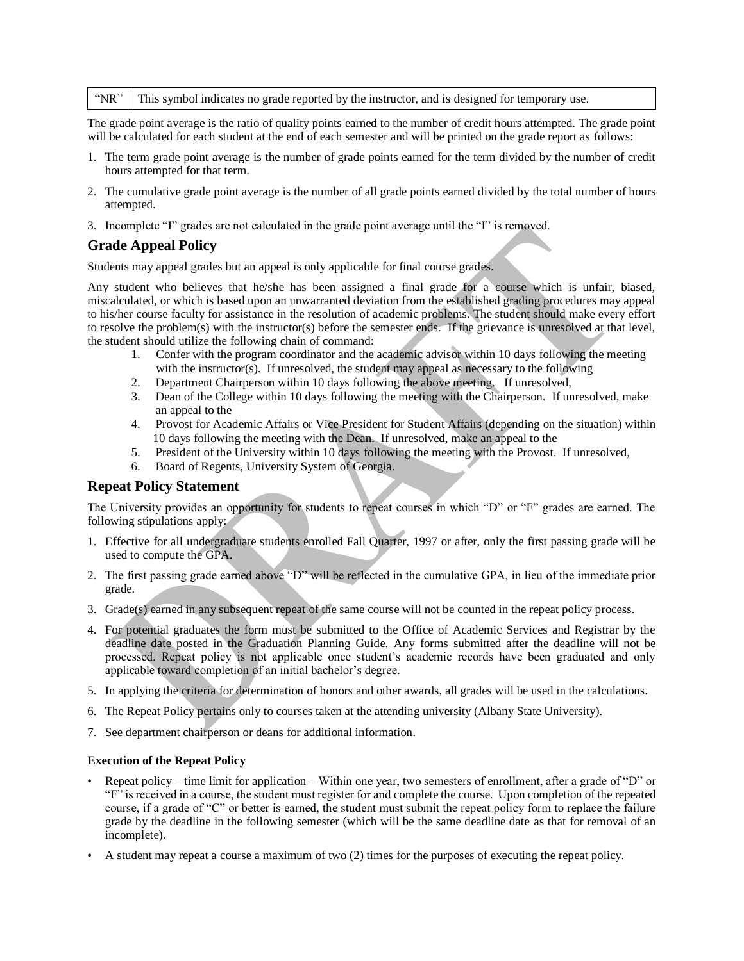#### "NR"  $\parallel$  This symbol indicates no grade reported by the instructor, and is designed for temporary use.

The grade point average is the ratio of quality points earned to the number of credit hours attempted. The grade point will be calculated for each student at the end of each semester and will be printed on the grade report as follows:

- 1. The term grade point average is the number of grade points earned for the term divided by the number of credit hours attempted for that term.
- 2. The cumulative grade point average is the number of all grade points earned divided by the total number of hours attempted.
- 3. Incomplete "I" grades are not calculated in the grade point average until the "I" is removed.

## **Grade Appeal Policy**

Students may appeal grades but an appeal is only applicable for final course grades.

Any student who believes that he/she has been assigned a final grade for a course which is unfair, biased, miscalculated, or which is based upon an unwarranted deviation from the established grading procedures may appeal to his/her course faculty for assistance in the resolution of academic problems. The student should make every effort to resolve the problem(s) with the instructor(s) before the semester ends. If the grievance is unresolved at that level, the student should utilize the following chain of command:

- 1. Confer with the program coordinator and the academic advisor within 10 days following the meeting with the instructor(s). If unresolved, the student may appeal as necessary to the following
- 2. Department Chairperson within 10 days following the above meeting. If unresolved,
- 3. Dean of the College within 10 days following the meeting with the Chairperson. If unresolved, make an appeal to the
- 4. Provost for Academic Affairs or Vice President for Student Affairs (depending on the situation) within 10 days following the meeting with the Dean. If unresolved, make an appeal to the
- 5. President of the University within 10 days following the meeting with the Provost. If unresolved,
- 6. Board of Regents, University System of Georgia.

### **Repeat Policy Statement**

The University provides an opportunity for students to repeat courses in which "D" or "F" grades are earned. The following stipulations apply:

- 1. Effective for all undergraduate students enrolled Fall Quarter, 1997 or after, only the first passing grade will be used to compute the GPA.
- 2. The first passing grade earned above "D" will be reflected in the cumulative GPA, in lieu of the immediate prior grade.
- 3. Grade(s) earned in any subsequent repeat of the same course will not be counted in the repeat policy process.
- 4. For potential graduates the form must be submitted to the Office of Academic Services and Registrar by the deadline date posted in the Graduation Planning Guide. Any forms submitted after the deadline will not be processed. Repeat policy is not applicable once student's academic records have been graduated and only applicable toward completion of an initial bachelor's degree.
- 5. In applying the criteria for determination of honors and other awards, all grades will be used in the calculations.
- 6. The Repeat Policy pertains only to courses taken at the attending university (Albany State University).
- 7. See department chairperson or deans for additional information.

### **Execution of the Repeat Policy**

- Repeat policy time limit for application Within one year, two semesters of enrollment, after a grade of "D" or "F" is received in a course, the student must register for and complete the course. Upon completion of the repeated course, if a grade of "C" or better is earned, the student must submit the repeat policy form to replace the failure grade by the deadline in the following semester (which will be the same deadline date as that for removal of an incomplete).
- A student may repeat a course a maximum of two (2) times for the purposes of executing the repeat policy.